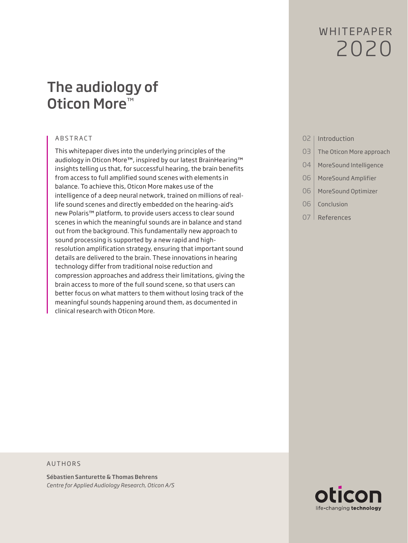# W HITFPAPFR 2020

## The audiology of Oticon More<sup>™</sup>

#### ABSTRACT

This whitepaper dives into the underlying principles of the audiology in Oticon More™, inspired by our latest BrainHearing™ insights telling us that, for successful hearing, the brain benefits from access to full amplified sound scenes with elements in balance. To achieve this, Oticon More makes use of the intelligence of a deep neural network, trained on millions of reallife sound scenes and directly embedded on the hearing-aid's new Polaris™ platform, to provide users access to clear sound scenes in which the meaningful sounds are in balance and stand out from the background. This fundamentally new approach to sound processing is supported by a new rapid and highresolution amplification strategy, ensuring that important sound details are delivered to the brain. These innovations in hearing technology differ from traditional noise reduction and compression approaches and address their limitations, giving the brain access to more of the full sound scene, so that users can better focus on what matters to them without losing track of the meaningful sounds happening around them, as documented in clinical research with Oticon More.

- 02 | Introduction
- 03 The Oticon More approach
- 04 MoreSound Intelligence
- 06 | MoreSound Amplifier
- 06 | MoreSound Optimizer
- 06 Conclusion
- 07 References

#### AUTHORS

Sébastien Santurette & Thomas Behrens *Centre for Applied Audiology Research, Oticon A/S*

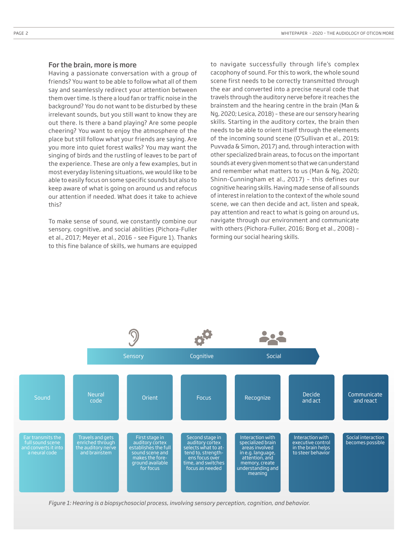#### For the brain, more is more

Having a passionate conversation with a group of friends? You want to be able to follow what all of them say and seamlessly redirect your attention between them over time. Is there a loud fan or traffic noise in the background? You do not want to be disturbed by these irrelevant sounds, but you still want to know they are out there. Is there a band playing? Are some people cheering? You want to enjoy the atmosphere of the place but still follow what your friends are saying. Are you more into quiet forest walks? You may want the singing of birds and the rustling of leaves to be part of the experience. These are only a few examples, but in most everyday listening situations, we would like to be able to easily focus on some specific sounds but also to keep aware of what is going on around us and refocus our attention if needed. What does it take to achieve this?

To make sense of sound, we constantly combine our sensory, cognitive, and social abilities (Pichora-Fuller et al., 2017; Meyer et al., 2016 – see Figure 1). Thanks to this fine balance of skills, we humans are equipped

to navigate successfully through life's complex cacophony of sound. For this to work, the whole sound scene first needs to be correctly transmitted through the ear and converted into a precise neural code that travels through the auditory nerve before it reaches the brainstem and the hearing centre in the brain (Man & Ng, 2020; Lesica, 2018) – these are our sensory hearing skills. Starting in the auditory cortex, the brain then needs to be able to orient itself through the elements of the incoming sound scene (O'Sullivan et al., 2019; Puvvada & Simon, 2017) and, through interaction with other specialized brain areas, to focus on the important sounds at every given moment so that we can understand and remember what matters to us (Man & Ng, 2020; Shinn-Cunningham et al., 2017) – this defines our cognitive hearing skills. Having made sense of all sounds of interest in relation to the context of the whole sound scene, we can then decide and act, listen and speak, pay attention and react to what is going on around us, navigate through our environment and communicate with others (Pichora-Fuller, 2016; Borg et al., 2008) – forming our social hearing skills.



*Figure 1: Hearing is a biopsychosocial process, involving sensory perception, cognition, and behavior.*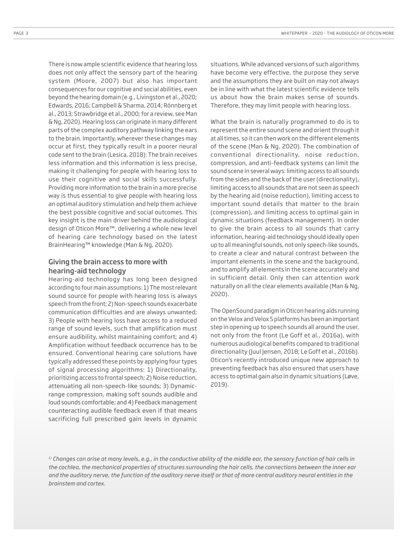There is now ample scientific evidence that hearing loss does not only affect the sensory part of the hearing system (Moore, 2007) but also has important consequences for our cognitive and social abilities, even beyond the hearing domain (e.g., Livingston et al., 2020; Edwards, 2016; Campbell & Sharma, 2014; Rönnberg et al., 2013; Strawbridge et al., 2000; for a review, see Man & Ng, 2020). Hearing loss can originate in many different parts of the complex auditory pathway linking the ears to the brain. Importantly, wherever these changes may occur at first, they typically result in a poorer neural code sent to the brain (Lesica, 2018): The brain receives less information and this information is less precise, making it challenging for people with hearing loss to use their cognitive and social skills successfully. Providing more information to the brain in a more precise way is thus essential to give people with hearing loss an optimal auditory stimulation and help them achieve the best possible cognitive and social outcomes. This key insight is the main driver behind the audiological design of Oticon More™, delivering a whole new level of hearing care technology based on the latest

## Giving the brain access to more with hearing-aid technology

BrainHearing™ knowledge (Man & Ng, 2020).

Hearing-aid technology has long been designed according to four main assumptions: 1) The most relevant sound source for people with hearing loss is always speech from the front; 2) Non-speech sounds exacerbate communication difficulties and are always unwanted; 3) People with hearing loss have access to a reduced range of sound levels, such that amplification must ensure audibility, whilst maintaining comfort; and 4) Amplification without feedback occurrence has to be ensured. Conventional hearing care solutions have typically addressed these points by applying four types of signal processing algorithms: 1) Directionality, prioritizing access to frontal speech; 2) Noise reduction, attenuating all non-speech-like sounds; 3) Dynamicrange compression, making soft sounds audible and loud sounds comfortable; and 4) Feedback management counteracting audible feedback even if that means sacrificing full prescribed gain levels in dynamic situations. While advanced versions of such algorithms have become very effective, the purpose they serve and the assumptions they are built on may not always be in line with what the latest scientific evidence tells us about how the brain makes sense of sounds. Therefore, they may limit people with hearing loss.

What the brain is naturally programmed to do is to represent the entire sound scene and orient through it at all times, so it can then work on the different elements of the scene (Man & Ng, 2020). The combination of conventional directionality, noise reduction, compression, and anti-feedback systems can limit the sound scene in several ways: limiting access to all sounds from the sides and the back of the user (directionality), limiting access to all sounds that are not seen as speech by the hearing aid (noise reduction), limiting access to important sound details that matter to the brain (compression), and limiting access to optimal gain in dynamic situations (feedback management). In order to give the brain access to all sounds that carry information, hearing-aid technology should ideally open up to all meaningful sounds, not only speech-like sounds, to create a clear and natural contrast between the important elements in the scene and the background, and to amplify all elements in the scene accurately and in sufficient detail. Only then can attention work naturally on all the clear elements available (Man & Ng, 2020).

The OpenSound paradigm in Oticon hearing aids running on the Velox and Velox S platforms has been an important step in opening up to speech sounds all around the user, not only from the front (Le Goff et al., 2016a), with numerous audiological benefits compared to traditional directionality (Juul Jensen, 2018; Le Goff et al., 2016b). Oticon's recently introduced unique new approach to preventing feedback has also ensured that users have access to optimal gain also in dynamic situations (Løve, 2019).

*1) Changes can arise at many levels, e.g., in the conductive ability of the middle ear, the sensory function of hair cells in the cochlea, the mechanical properties of structures surrounding the hair cells, the connections between the inner ear and the auditory nerve, the function of the auditory nerve itself or that of more central auditory neural entities in the brainstem and cortex.*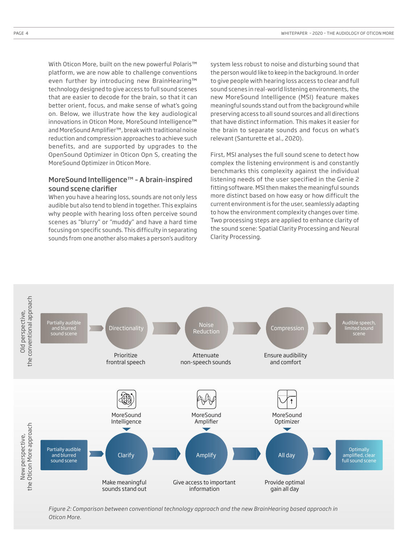With Oticon More, built on the new powerful Polaris™ platform, we are now able to challenge conventions even further by introducing new BrainHearing™ technology designed to give access to full sound scenes that are easier to decode for the brain, so that it can better orient, focus, and make sense of what's going on. Below, we illustrate how the key audiological innovations in Oticon More, MoreSound Intelligence™ and MoreSound Amplifier™, break with traditional noise reduction and compression approaches to achieve such benefits, and are supported by upgrades to the OpenSound Optimizer in Oticon Opn S, creating the MoreSound Optimizer in Oticon More.

### MoreSound Intelligence™ – A brain-inspired sound scene clarifier

When you have a hearing loss, sounds are not only less audible but also tend to blend in together. This explains why people with hearing loss often perceive sound scenes as "blurry" or "muddy" and have a hard time focusing on specific sounds. This difficulty in separating sounds from one another also makes a person's auditory system less robust to noise and disturbing sound that the person would like to keep in the background. In order to give people with hearing loss access to clear and full sound scenes in real-world listening environments, the new MoreSound Intelligence (MSI) feature makes meaningful sounds stand out from the background while preserving access to all sound sources and all directions that have distinct information. This makes it easier for the brain to separate sounds and focus on what's relevant (Santurette et al., 2020).

First, MSI analyses the full sound scene to detect how complex the listening environment is and constantly benchmarks this complexity against the individual listening needs of the user specified in the Genie 2 fitting software. MSI then makes the meaningful sounds more distinct based on how easy or how difficult the current environment is for the user, seamlessly adapting to how the environment complexity changes over time. Two processing steps are applied to enhance clarity of the sound scene: Spatial Clarity Processing and Neural Clarity Processing.



*Figure 2: Comparison between conventional technology approach and the new BrainHearing based approach in Oticon More.*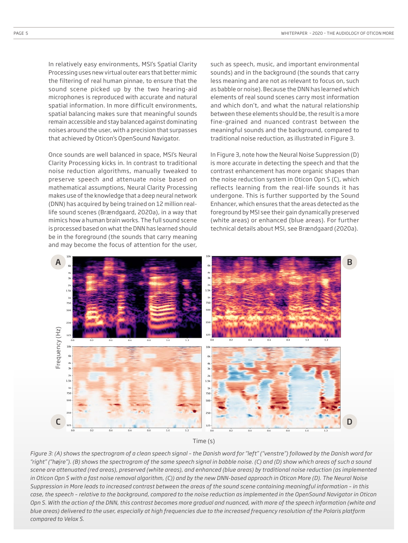In relatively easy environments, MSI's Spatial Clarity Processing uses new virtual outer ears that better mimic the filtering of real human pinnae, to ensure that the sound scene picked up by the two hearing-aid microphones is reproduced with accurate and natural spatial information. In more difficult environments, spatial balancing makes sure that meaningful sounds remain accessible and stay balanced against dominating noises around the user, with a precision that surpasses that achieved by Oticon's OpenSound Navigator.

Once sounds are well balanced in space, MSI's Neural Clarity Processing kicks in. In contrast to traditional noise reduction algorithms, manually tweaked to preserve speech and attenuate noise based on mathematical assumptions, Neural Clarity Processing makes use of the knowledge that a deep neural network (DNN) has acquired by being trained on 12 million reallife sound scenes (Brændgaard, 2020a), in a way that mimics how a human brain works. The full sound scene is processed based on what the DNN has learned should be in the foreground (the sounds that carry meaning and may become the focus of attention for the user,

such as speech, music, and important environmental sounds) and in the background (the sounds that carry less meaning and are not as relevant to focus on, such as babble or noise). Because the DNN has learned which elements of real sound scenes carry most information and which don't, and what the natural relationship between these elements should be, the result is a more fine-grained and nuanced contrast between the meaningful sounds and the background, compared to traditional noise reduction, as illustrated in Figure 3.

In Figure 3, note how the Neural Noise Suppression (D) is more accurate in detecting the speech and that the contrast enhancement has more organic shapes than the noise reduction system in Oticon Opn S (C), which reflects learning from the real-life sounds it has undergone. This is further supported by the Sound Enhancer, which ensures that the areas detected as the foreground by MSI see their gain dynamically preserved (white areas) or enhanced (blue areas). For further technical details about MSI, see Brændgaard (2020a).





*Figure 3: (A) shows the spectrogram of a clean speech signal – the Danish word for "left" ("venstre") followed by the Danish word for "right" ("højre"). (B) shows the spectrogram of the same speech signal in babble noise. (C) and (D) show which areas of such a sound scene are attenuated (red areas), preserved (white areas), and enhanced (blue areas) by traditional noise reduction (as implemented in Oticon Opn S with a fast noise removal algorithm, (C)) and by the new DNN-based approach in Oticon More (D). The Neural Noise Suppression in More leads to increased contrast between the areas of the sound scene containing meaningful information – in this case, the speech – relative to the background, compared to the noise reduction as implemented in the OpenSound Navigator in Oticon Opn S. With the action of the DNN, this contrast becomes more gradual and nuanced, with more of the speech information (white and blue areas) delivered to the user, especially at high frequencies due to the increased frequency resolution of the Polaris platform*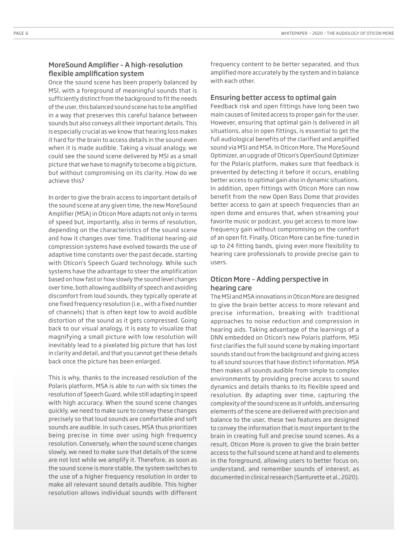### MoreSound Amplifier – A high-resolution flexible amplification system

Once the sound scene has been properly balanced by MSI, with a foreground of meaningful sounds that is sufficiently distinct from the background to fit the needs of the user, this balanced sound scene has to be amplified in a way that preserves this careful balance between sounds but also conveys all their important details. This is especially crucial as we know that hearing loss makes it hard for the brain to access details in the sound even when it is made audible. Taking a visual analogy, we could see the sound scene delivered by MSI as a small picture that we have to magnify to become a big picture, but without compromising on its clarity. How do we achieve this?

In order to give the brain access to important details of the sound scene at any given time, the new MoreSound Amplifier (MSA) in Oticon More adapts not only in terms of speed but, importantly, also in terms of resolution, depending on the characteristics of the sound scene and how it changes over time. Traditional hearing-aid compression systems have evolved towards the use of adaptive time constants over the past decade, starting with Oticon's Speech Guard technology. While such systems have the advantage to steer the amplification based on how fast or how slowly the sound level changes over time, both allowing audibility of speech and avoiding discomfort from loud sounds, they typically operate at one fixed frequency resolution (i.e., with a fixed number of channels) that is often kept low to avoid audible distortion of the sound as it gets compressed. Going back to our visual analogy, it is easy to visualize that magnifying a small picture with low resolution will inevitably lead to a pixelated big picture that has lost in clarity and detail, and that you cannot get these details back once the picture has been enlarged.

This is why, thanks to the increased resolution of the Polaris platform, MSA is able to run with six times the resolution of Speech Guard, while still adapting in speed with high accuracy. When the sound scene changes quickly, we need to make sure to convey these changes precisely so that loud sounds are comfortable and soft sounds are audible. In such cases, MSA thus prioritizes being precise in time over using high frequency resolution. Conversely, when the sound scene changes slowly, we need to make sure that details of the scene are not lost while we amplify it. Therefore, as soon as the sound scene is more stable, the system switches to the use of a higher frequency resolution in order to make all relevant sound details audible. This higher resolution allows individual sounds with different

frequency content to be better separated, and thus amplified more accurately by the system and in balance with each other.

#### Ensuring better access to optimal gain

Feedback risk and open fittings have long been two main causes of limited access to proper gain for the user. However, ensuring that optimal gain is delivered in all situations, also in open fittings, is essential to get the full audiological benefits of the clarified and amplified sound via MSI and MSA. In Oticon More, The MoreSound Optimizer, an upgrade of Oticon's OpenSound Optimizer for the Polaris platform, makes sure that feedback is prevented by detecting it before it occurs, enabling better access to optimal gain also in dynamic situations. In addition, open fittings with Oticon More can now benefit from the new Open Bass Dome that provides better access to gain at speech frequencies than an open dome and ensures that, when streaming your favorite music or podcast, you get access to more lowfrequency gain without compromising on the comfort of an open fit. Finally, Oticon More can be fine-tuned in up to 24 fitting bands, giving even more flexibility to hearing care professionals to provide precise gain to users.

## Oticon More – Adding perspective in hearing care

The MSI and MSA innovations in Oticon More are designed to give the brain better access to more relevant and precise information, breaking with traditional approaches to noise reduction and compression in hearing aids. Taking advantage of the learnings of a DNN embedded on Oticon's new Polaris platform, MSI first clarifies the full sound scene by making important sounds stand out from the background and giving access to all sound sources that have distinct information. MSA then makes all sounds audible from simple to complex environments by providing precise access to sound dynamics and details thanks to its flexible speed and resolution. By adapting over time, capturing the complexity of the sound scene as it unfolds, and ensuring elements of the scene are delivered with precision and balance to the user, these two features are designed to convey the information that is most important to the brain in creating full and precise sound scenes. As a result, Oticon More is proven to give the brain better access to the full sound scene at hand and to elements in the foreground, allowing users to better focus on, understand, and remember sounds of interest, as documented in clinical research (Santurette et al., 2020).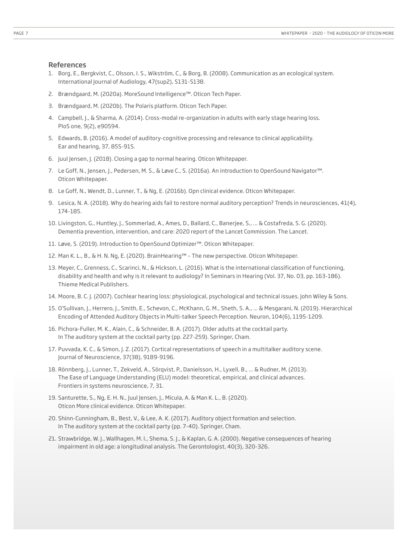#### References

- 1. Borg, E., Bergkvist, C., Olsson, I. S., Wikström, C., & Borg, B. (2008). Communication as an ecological system. International Journal of Audiology, 47(sup2), S131-S138.
- 2. Brændgaard, M. (2020a). MoreSound Intelligence™. Oticon Tech Paper.
- 3. Brændgaard, M. (2020b). The Polaris platform. Oticon Tech Paper.
- 4. Campbell, J., & Sharma, A. (2014). Cross-modal re-organization in adults with early stage hearing loss. PloS one, 9(2), e90594.
- 5. Edwards, B. (2016). A model of auditory-cognitive processing and relevance to clinical applicability. Ear and hearing, 37, 85S-91S.
- 6. Juul Jensen, J. (2018). Closing a gap to normal hearing. Oticon Whitepaper.
- 7. Le Goff, N., Jensen, J., Pedersen, M. S., & Løve C., S. (2016a). An introduction to OpenSound Navigator™. Oticon Whitepaper.
- 8. Le Goff, N., Wendt, D., Lunner, T., & Ng, E. (2016b). Opn clinical evidence. Oticon Whitepaper.
- 9. Lesica, N. A. (2018). Why do hearing aids fail to restore normal auditory perception? Trends in neurosciences, 41(4), 174-185.
- 10. Livingston, G., Huntley, J., Sommerlad, A., Ames, D., Ballard, C., Banerjee, S., ... & Costafreda, S. G. (2020). Dementia prevention, intervention, and care: 2020 report of the Lancet Commission. The Lancet.
- 11. Løve, S. (2019). Introduction to OpenSound Optimizer™. Oticon Whitepaper.
- 12. Man K. L., B., & H. N. Ng, E. (2020). BrainHearing™ The new perspective. Oticon Whitepaper.
- 13. Meyer, C., Grenness, C., Scarinci, N., & Hickson, L. (2016). What is the international classification of functioning, disability and health and why is it relevant to audiology? In Seminars in Hearing (Vol. 37, No. 03, pp. 163-186). Thieme Medical Publishers.
- 14. Moore, B. C. J. (2007). Cochlear hearing loss: physiological, psychological and technical issues. John Wiley & Sons.
- 15. O'Sullivan, J., Herrero, J., Smith, E., Schevon, C., McKhann, G. M., Sheth, S. A., ... & Mesgarani, N. (2019). Hierarchical Encoding of Attended Auditory Objects in Multi-talker Speech Perception. Neuron, 104(6), 1195-1209.
- 16. Pichora-Fuller, M. K., Alain, C., & Schneider, B. A. (2017). Older adults at the cocktail party. In The auditory system at the cocktail party (pp. 227-259). Springer, Cham.
- 17. Puvvada, K. C., & Simon, J. Z. (2017). Cortical representations of speech in a multitalker auditory scene. Journal of Neuroscience, 37(38), 9189-9196.
- 18. Rönnberg, J., Lunner, T., Zekveld, A., Sörqvist, P., Danielsson, H., Lyxell, B., ... & Rudner, M. (2013). The Ease of Language Understanding (ELU) model: theoretical, empirical, and clinical advances. Frontiers in systems neuroscience, 7, 31.
- 19. Santurette, S., Ng, E. H. N., Juul Jensen, J., Micula, A. & Man K. L., B. (2020). Oticon More clinical evidence. Oticon Whitepaper.
- 20. Shinn-Cunningham, B., Best, V., & Lee, A. K. (2017). Auditory object formation and selection. In The auditory system at the cocktail party (pp. 7-40). Springer, Cham.
- 21. Strawbridge, W. J., Wallhagen, M. I., Shema, S. J., & Kaplan, G. A. (2000). Negative consequences of hearing impairment in old age: a longitudinal analysis. The Gerontologist, 40(3), 320-326.